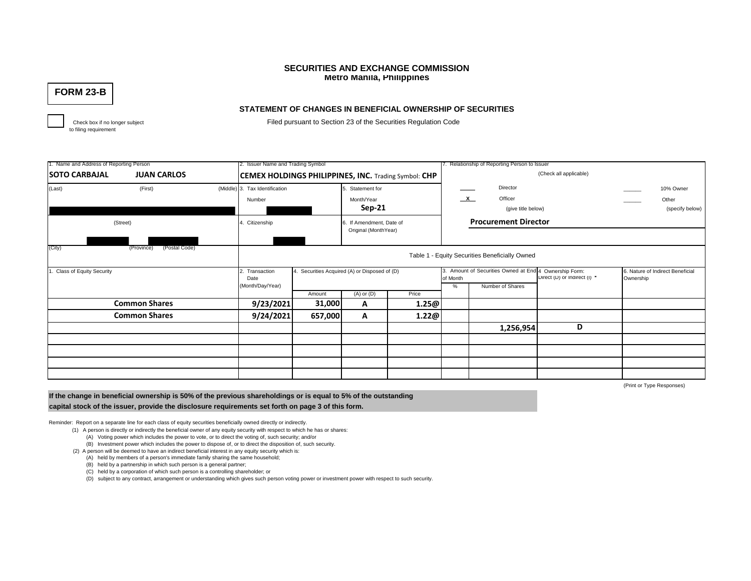# **SECURITIES AND EXCHANGE COMMISSION Metro Manila, Philippines**

**FORM 23-B**

## **STATEMENT OF CHANGES IN BENEFICIAL OWNERSHIP OF SECURITIES**

to filing requirement

Check box if no longer subject Filed pursuant to Section 23 of the Securities Regulation Code

| . Name and Address of Reporting Person |                             |                                            | 2. Issuer Name and Trading Symbol                           |                  |                             |               | 7. Relationship of Reporting Person to Issuer                              |                              |                          |                                  |  |  |  |
|----------------------------------------|-----------------------------|--------------------------------------------|-------------------------------------------------------------|------------------|-----------------------------|---------------|----------------------------------------------------------------------------|------------------------------|--------------------------|----------------------------------|--|--|--|
| <b>SOTO CARBAJAL</b>                   | <b>JUAN CARLOS</b>          |                                            | <b>CEMEX HOLDINGS PHILIPPINES, INC. Trading Symbol: CHP</b> |                  |                             |               | (Check all applicable)                                                     |                              |                          |                                  |  |  |  |
| (First)<br>(Last)                      |                             | (Middle) 3. Tax Identification             |                                                             | 5. Statement for |                             |               | Director                                                                   | 10% Owner                    |                          |                                  |  |  |  |
|                                        |                             | Number                                     |                                                             |                  | Month/Year<br>$Sep-21$      |               | $\mathbf{x}$<br>Officer<br>(give title below)                              |                              | Other<br>(specify below) |                                  |  |  |  |
| (Street)                               |                             | Citizenship                                | 6. If Amendment, Date of<br>Original (MonthYear)            |                  | <b>Procurement Director</b> |               |                                                                            |                              |                          |                                  |  |  |  |
|                                        |                             |                                            |                                                             |                  |                             |               |                                                                            |                              |                          |                                  |  |  |  |
| (City)                                 | (Postal Code)<br>(Province) |                                            | Table 1 - Equity Securities Beneficially Owned              |                  |                             |               |                                                                            |                              |                          |                                  |  |  |  |
| Class of Equity Security               |                             | 2. Transaction<br>Date<br>(Month/Day/Year) | Securities Acquired (A) or Disposed of (D)                  |                  |                             | of Month<br>% | 3. Amount of Securities Owned at End 4 Ownership Form:<br>Number of Shares | Direct (D) or Indirect (I) * | Ownership                | 6. Nature of Indirect Beneficial |  |  |  |
|                                        |                             |                                            | Amount                                                      | $(A)$ or $(D)$   | Price                       |               |                                                                            |                              |                          |                                  |  |  |  |
|                                        | <b>Common Shares</b>        | 9/23/2021                                  | 31,000                                                      | A                | 1.25@                       |               |                                                                            |                              |                          |                                  |  |  |  |
|                                        | <b>Common Shares</b>        | 9/24/2021                                  | 657,000                                                     | A                | 1.22@                       |               |                                                                            |                              |                          |                                  |  |  |  |
|                                        |                             |                                            |                                                             |                  |                             |               | 1,256,954                                                                  | D                            |                          |                                  |  |  |  |
|                                        |                             |                                            |                                                             |                  |                             |               |                                                                            |                              |                          |                                  |  |  |  |
|                                        |                             |                                            |                                                             |                  |                             |               |                                                                            |                              |                          |                                  |  |  |  |
|                                        |                             |                                            |                                                             |                  |                             |               |                                                                            |                              |                          |                                  |  |  |  |
|                                        |                             |                                            |                                                             |                  |                             |               |                                                                            |                              |                          |                                  |  |  |  |
|                                        |                             |                                            |                                                             |                  |                             |               |                                                                            |                              |                          | (Print or Type Responses)        |  |  |  |

(Print or Type Responses)

**If the change in beneficial ownership is 50% of the previous shareholdings or is equal to 5% of the outstanding** 

**capital stock of the issuer, provide the disclosure requirements set forth on page 3 of this form.**

Reminder: Report on a separate line for each class of equity securities beneficially owned directly or indirectly.

- (1) A person is directly or indirectly the beneficial owner of any equity security with respect to which he has or shares:
	- (A) Voting power which includes the power to vote, or to direct the voting of, such security; and/or
	- (B) Investment power which includes the power to dispose of, or to direct the disposition of, such security.

(2) A person will be deemed to have an indirect beneficial interest in any equity security which is:

- (A) held by members of a person's immediate family sharing the same household;
- (B) held by a partnership in which such person is a general partner;
- (C) held by a corporation of which such person is a controlling shareholder; or
- (D) subject to any contract, arrangement or understanding which gives such person voting power or investment power with respect to such security.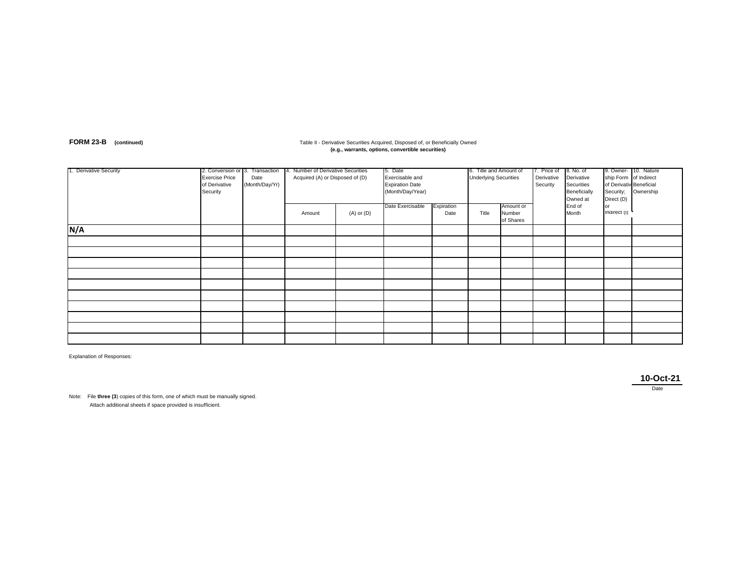## **FORM 23-B** (continued) **Table II - Derivative Securities Acquired, Disposed of, or Beneficially Owned (e.g., warrants, options, convertible securities)**

| 1. Derivative Security | 2. Conversion or 3. Transaction<br><b>Exercise Price</b><br>of Derivative<br>Security | Date<br>(Month/Day/Yr) | 4. Number of Derivative Securities<br>Acquired (A) or Disposed of (D)<br>Amount | $(A)$ or $(D)$ | 5. Date<br>Exercisable and<br><b>Expiration Date</b><br>(Month/Day/Year)<br>Date Exercisable<br>Expiration<br>Date |  | 6. Title and Amount of<br><b>Underlying Securities</b><br>Amount or<br>Title<br>Number |           | 7. Price of<br>Derivative<br>Security | 8. No. of<br>Derivative<br>Securities<br>Beneficially<br>Owned at<br>End of<br>Month | ship Form of Indirect<br>of Derivativ Beneficial<br>Direct (D)<br><b>or</b><br>indirect (I) | 9. Owner- 10. Nature<br>Security; Ownership |
|------------------------|---------------------------------------------------------------------------------------|------------------------|---------------------------------------------------------------------------------|----------------|--------------------------------------------------------------------------------------------------------------------|--|----------------------------------------------------------------------------------------|-----------|---------------------------------------|--------------------------------------------------------------------------------------|---------------------------------------------------------------------------------------------|---------------------------------------------|
| N/A                    |                                                                                       |                        |                                                                                 |                |                                                                                                                    |  |                                                                                        | of Shares |                                       |                                                                                      |                                                                                             |                                             |
|                        |                                                                                       |                        |                                                                                 |                |                                                                                                                    |  |                                                                                        |           |                                       |                                                                                      |                                                                                             |                                             |
|                        |                                                                                       |                        |                                                                                 |                |                                                                                                                    |  |                                                                                        |           |                                       |                                                                                      |                                                                                             |                                             |
|                        |                                                                                       |                        |                                                                                 |                |                                                                                                                    |  |                                                                                        |           |                                       |                                                                                      |                                                                                             |                                             |
|                        |                                                                                       |                        |                                                                                 |                |                                                                                                                    |  |                                                                                        |           |                                       |                                                                                      |                                                                                             |                                             |
|                        |                                                                                       |                        |                                                                                 |                |                                                                                                                    |  |                                                                                        |           |                                       |                                                                                      |                                                                                             |                                             |
|                        |                                                                                       |                        |                                                                                 |                |                                                                                                                    |  |                                                                                        |           |                                       |                                                                                      |                                                                                             |                                             |
|                        |                                                                                       |                        |                                                                                 |                |                                                                                                                    |  |                                                                                        |           |                                       |                                                                                      |                                                                                             |                                             |
|                        |                                                                                       |                        |                                                                                 |                |                                                                                                                    |  |                                                                                        |           |                                       |                                                                                      |                                                                                             |                                             |
|                        |                                                                                       |                        |                                                                                 |                |                                                                                                                    |  |                                                                                        |           |                                       |                                                                                      |                                                                                             |                                             |
|                        |                                                                                       |                        |                                                                                 |                |                                                                                                                    |  |                                                                                        |           |                                       |                                                                                      |                                                                                             |                                             |

Explanation of Responses:

**10-Oct-21**

Date

Note: File **three (3**) copies of this form, one of which must be manually signed. Attach additional sheets if space provided is insufficient.